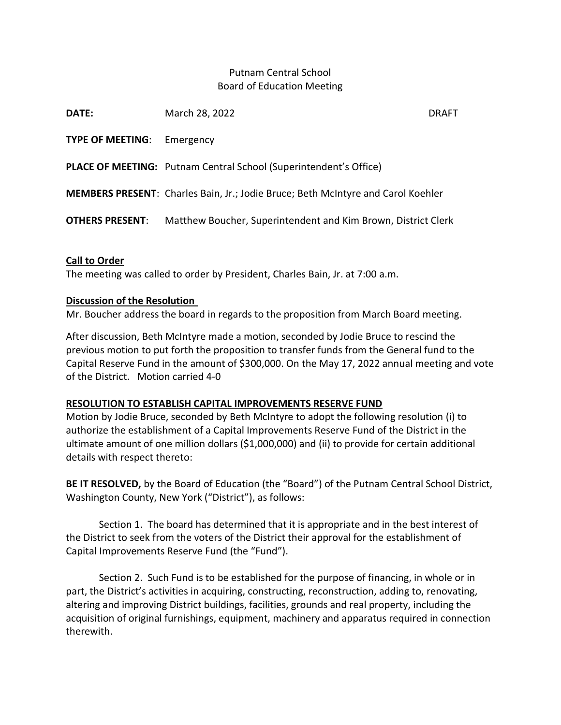# Putnam Central School Board of Education Meeting

| March 28, 2022                                                                          | <b>DRAFT</b>                                                  |
|-----------------------------------------------------------------------------------------|---------------------------------------------------------------|
| Emergency                                                                               |                                                               |
| <b>PLACE OF MEETING:</b> Putnam Central School (Superintendent's Office)                |                                                               |
| <b>MEMBERS PRESENT:</b> Charles Bain, Jr.; Jodie Bruce; Beth McIntyre and Carol Koehler |                                                               |
|                                                                                         |                                                               |
|                                                                                         | Matthew Boucher, Superintendent and Kim Brown, District Clerk |

### Call to Order

The meeting was called to order by President, Charles Bain, Jr. at 7:00 a.m.

### Discussion of the Resolution

Mr. Boucher address the board in regards to the proposition from March Board meeting.

After discussion, Beth McIntyre made a motion, seconded by Jodie Bruce to rescind the previous motion to put forth the proposition to transfer funds from the General fund to the Capital Reserve Fund in the amount of \$300,000. On the May 17, 2022 annual meeting and vote of the District. Motion carried 4-0

#### RESOLUTION TO ESTABLISH CAPITAL IMPROVEMENTS RESERVE FUND

Motion by Jodie Bruce, seconded by Beth McIntyre to adopt the following resolution (i) to authorize the establishment of a Capital Improvements Reserve Fund of the District in the ultimate amount of one million dollars (\$1,000,000) and (ii) to provide for certain additional details with respect thereto:

BE IT RESOLVED, by the Board of Education (the "Board") of the Putnam Central School District, Washington County, New York ("District"), as follows:

Section 1. The board has determined that it is appropriate and in the best interest of the District to seek from the voters of the District their approval for the establishment of Capital Improvements Reserve Fund (the "Fund").

Section 2. Such Fund is to be established for the purpose of financing, in whole or in part, the District's activities in acquiring, constructing, reconstruction, adding to, renovating, altering and improving District buildings, facilities, grounds and real property, including the acquisition of original furnishings, equipment, machinery and apparatus required in connection therewith.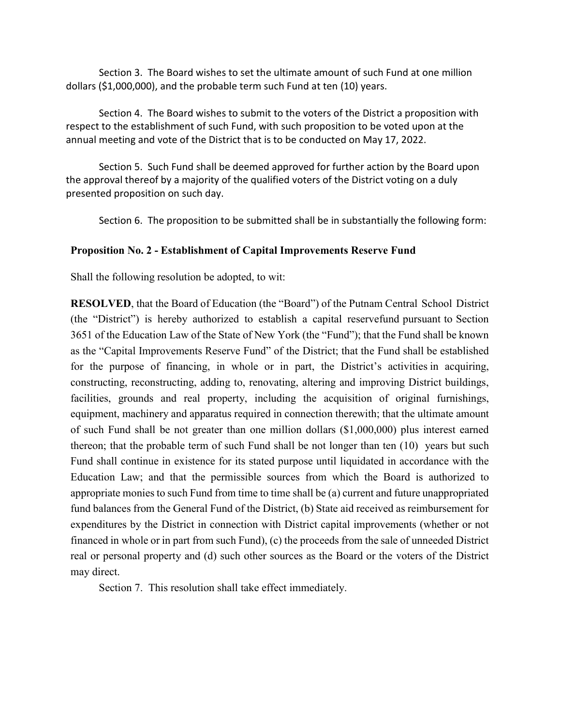Section 3. The Board wishes to set the ultimate amount of such Fund at one million dollars (\$1,000,000), and the probable term such Fund at ten (10) years.

Section 4. The Board wishes to submit to the voters of the District a proposition with respect to the establishment of such Fund, with such proposition to be voted upon at the annual meeting and vote of the District that is to be conducted on May 17, 2022.

Section 5. Such Fund shall be deemed approved for further action by the Board upon the approval thereof by a majority of the qualified voters of the District voting on a duly presented proposition on such day.

Section 6. The proposition to be submitted shall be in substantially the following form:

## Proposition No. 2 - Establishment of Capital Improvements Reserve Fund

Shall the following resolution be adopted, to wit:

RESOLVED, that the Board of Education (the "Board") of the Putnam Central School District (the "District") is hereby authorized to establish a capital reserve fund pursuant to Section 3651 of the Education Law of the State of New York (the "Fund"); that the Fund shall be known as the "Capital Improvements Reserve Fund" of the District; that the Fund shall be established for the purpose of financing, in whole or in part, the District's activities in acquiring, constructing, reconstructing, adding to, renovating, altering and improving District buildings, facilities, grounds and real property, including the acquisition of original furnishings, equipment, machinery and apparatus required in connection therewith; that the ultimate amount of such Fund shall be not greater than one million dollars (\$1,000,000) plus interest earned thereon; that the probable term of such Fund shall be not longer than ten (10) years but such Fund shall continue in existence for its stated purpose until liquidated in accordance with the Education Law; and that the permissible sources from which the Board is authorized to appropriate monies to such Fund from time to time shall be (a) current and future unappropriated fund balances from the General Fund of the District, (b) State aid received as reimbursement for expenditures by the District in connection with District capital improvements (whether or not financed in whole or in part from such Fund), (c) the proceeds from the sale of unneeded District real or personal property and (d) such other sources as the Board or the voters of the District may direct.

Section 7. This resolution shall take effect immediately.